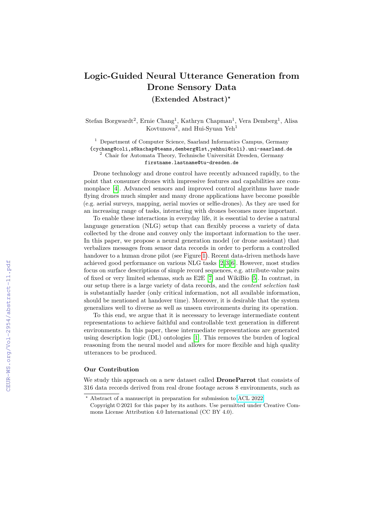## **Logic-Guided Neural Utterance Generation from Drone Sensory Data**

**(Extended Abstract)***?*

Stefan Borgwardt<sup>2</sup>, Ernie Chang<sup>1</sup>, Kathryn Chapman<sup>1</sup>, Vera Demberg<sup>1</sup>, Alisa Kovtunova<sup>2</sup>, and Hui-Syuan Yeh<sup>1</sup>

<sup>1</sup> Department of Computer Science, Saarland Informatics Campus, Germany {cychang@coli,s8kachap@teams,demberg@lst,yehhui@coli}.uni-saarland.de  $2$  Chair for Automata Theory, Technische Universität Dresden, Germany firstname.lastname@tu-dresden.de

Drone technology and drone control have recently advanced rapidly, to the point that consumer drones with impressive features and capabilities are commonplace [\[4\]](#page--1-0). Advanced sensors and improved control algorithms have made flying drones much simpler and many drone applications have become possible (e.g. aerial surveys, mapping, aerial movies or selfie-drones). As they are used for an increasing range of tasks, interacting with drones becomes more important.

To enable these interactions in everyday life, it is essential to devise a natural language generation (NLG) setup that can flexibly process a variety of data collected by the drone and convey only the important information to the user. In this paper, we propose a neural generation model (or drone assistant) that verbalizes messages from sensor data records in order to perform a controlled handover to a human drone pilot (see Figure [1\)](#page--1-1). Recent data-driven methods have achieved good performance on various NLG tasks [\[2,](#page--1-2) [3,](#page--1-3) [6\]](#page--1-4). However, most studies focus on surface descriptions of simple record sequences, e.g. attribute-value pairs of fixed or very limited schemas, such as E2E [\[7\]](#page--1-5) and WikiBio [\[5\]](#page--1-6). In contrast, in our setup there is a large variety of data records, and the *content selection task* is substantially harder (only critical information, not all available information, should be mentioned at handover time). Moreover, it is desirable that the system generalizes well to diverse as well as unseen environments during its operation.

To this end, we argue that it is necessary to leverage intermediate content representations to achieve faithful and controllable text generation in different environments. In this paper, these intermediate representations are generated using description logic (DL) ontologies [\[1\]](#page--1-7). This removes the burden of logical reasoning from the neural model and allows for more flexible and high quality utterances to be produced.

## **Our Contribution**

We study this approach on a new dataset called **DroneParrot** that consists of 316 data records derived from real drone footage across 8 environments, such as

*<sup>?</sup>* Abstract of a manuscript in preparation for submission to [ACL 2022.](https://www.2022.aclweb.org/)

Copyright © 2021 for this paper by its authors. Use permitted under Creative Commons License Attribution 4.0 International (CC BY 4.0).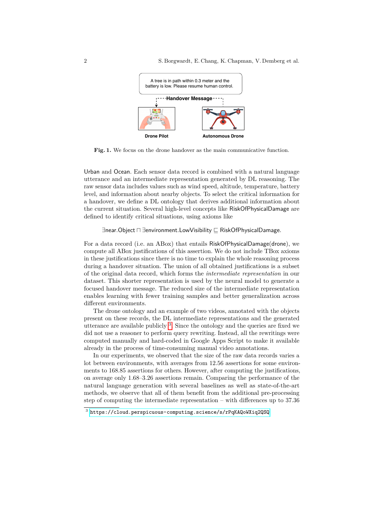

**Fig. 1.** We focus on the drone handover as the main communicative function.

Urban and Ocean. Each sensor data record is combined with a natural language utterance and an intermediate representation generated by DL reasoning. The raw sensor data includes values such as wind speed, altitude, temperature, battery level, and information about nearby objects. To select the critical information for a handover, we define a DL ontology that derives additional information about the current situation. Several high-level concepts like RiskOfPhysicalDamage are defined to identify critical situations, using axioms like

## ∃near*.*Object u ∃environment*.*LowVisibility v RiskOfPhysicalDamage*.*

For a data record (i.e. an ABox) that entails RiskOfPhysicalDamage(drone), we compute all ABox justifications of this assertion. We do not include TBox axioms in these justifications since there is no time to explain the whole reasoning process during a handover situation. The union of all obtained justifications is a subset of the original data record, which forms the *intermediate representation* in our dataset. This shorter representation is used by the neural model to generate a focused handover message. The reduced size of the intermediate representation enables learning with fewer training samples and better generalization across different environments.

The drone ontology and an example of two videos, annotated with the objects present on these records, the DL intermediate representations and the generated utterance are available publicly [3](#page-1-0) . Since the ontology and the queries are fixed we did not use a reasoner to perform query rewriting. Instead, all the rewritings were computed manually and hard-coded in Google Apps Script to make it available already in the process of time-consuming manual video annotations.

In our experiments, we observed that the size of the raw data records varies a lot between environments, with averages from 12.56 assertions for some environments to 168.85 assertions for others. However, after computing the justifications, on average only 1.68–3.26 assertions remain. Comparing the performance of the natural language generation with several baselines as well as state-of-the-art methods, we observe that all of them benefit from the additional pre-processing step of computing the intermediate representation – with differences up to 37*.*36

<span id="page-1-0"></span> $^3$  <https://cloud.perspicuous-computing.science/s/rPqKAQoWXiq2QSQ>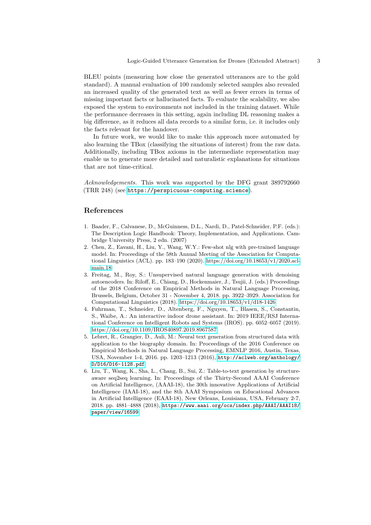BLEU points (measuring how close the generated utterances are to the gold standard). A manual evaluation of 100 randomly selected samples also revealed an increased quality of the generated text as well as fewer errors in terms of missing important facts or hallucinated facts. To evaluate the scalability, we also exposed the system to environments not included in the training dataset. While the performance decreases in this setting, again including DL reasoning makes a big difference, as it reduces all data records to a similar form, i.e. it includes only the facts relevant for the handover.

In future work, we would like to make this approach more automated by also learning the TBox (classifying the situations of interest) from the raw data. Additionally, including TBox axioms in the intermediate representation may enable us to generate more detailed and naturalistic explanations for situations that are not time-critical.

*Acknowledgements.* This work was supported by the DFG grant 389792660 (TRR 248) (see <https://perspicuous-computing.science>).

## **References**

- 1. Baader, F., Calvanese, D., McGuinness, D.L., Nardi, D., Patel-Schneider, P.F. (eds.): The Description Logic Handbook: Theory, Implementation, and Applications. Cambridge University Press, 2 edn. (2007)
- 2. Chen, Z., Eavani, H., Liu, Y., Wang, W.Y.: Few-shot nlg with pre-trained language model. In: Proceedings of the 58th Annual Meeting of the Association for Computational Linguistics (ACL). pp. 183–190 (2020). [https://doi.org/10.18653/v1/2020.acl](https://doi.org/10.18653/v1/2020.acl-main.18)[main.18](https://doi.org/10.18653/v1/2020.acl-main.18)
- 3. Freitag, M., Roy, S.: Unsupervised natural language generation with denoising autoencoders. In: Riloff, E., Chiang, D., Hockenmaier, J., Tsujii, J. (eds.) Proceedings of the 2018 Conference on Empirical Methods in Natural Language Processing, Brussels, Belgium, October 31 - November 4, 2018. pp. 3922–3929. Association for Computational Linguistics (2018).<https://doi.org/10.18653/v1/d18-1426>
- 4. Fuhrman, T., Schneider, D., Altenberg, F., Nguyen, T., Blasen, S., Constantin, S., Waibe, A.: An interactive indoor drone assistant. In: 2019 IEEE/RSJ International Conference on Intelligent Robots and Systems (IROS). pp. 6052–6057 (2019). <https://doi.org/10.1109/IROS40897.2019.8967587>
- 5. Lebret, R., Grangier, D., Auli, M.: Neural text generation from structured data with application to the biography domain. In: Proceedings of the 2016 Conference on Empirical Methods in Natural Language Processing, EMNLP 2016, Austin, Texas, USA, November 1-4, 2016. pp. 1203–1213 (2016), [http://aclweb.org/anthology/](http://aclweb.org/anthology/D/D16/D16-1128.pdf) [D/D16/D16-1128.pdf](http://aclweb.org/anthology/D/D16/D16-1128.pdf)
- 6. Liu, T., Wang, K., Sha, L., Chang, B., Sui, Z.: Table-to-text generation by structureaware seq2seq learning. In: Proceedings of the Thirty-Second AAAI Conference on Artificial Intelligence, (AAAI-18), the 30th innovative Applications of Artificial Intelligence (IAAI-18), and the 8th AAAI Symposium on Educational Advances in Artificial Intelligence (EAAI-18), New Orleans, Louisiana, USA, February 2-7, 2018. pp. 4881–4888 (2018), [https://www.aaai.org/ocs/index.php/AAAI/AAAI18/](https://www.aaai.org/ocs/index.php/AAAI/AAAI18/paper/view/16599) [paper/view/16599](https://www.aaai.org/ocs/index.php/AAAI/AAAI18/paper/view/16599)